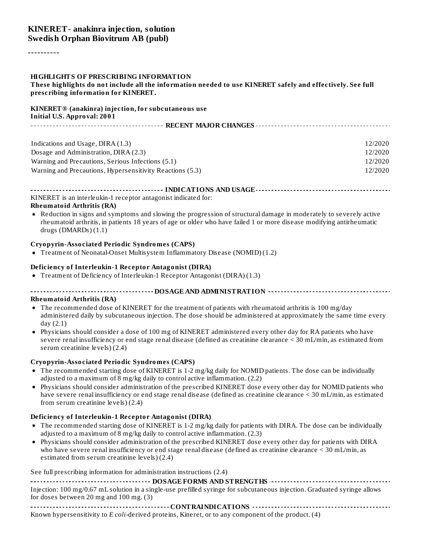#### **KINERET- anakinra injection, solution Swedish Orphan Biovitrum AB (publ)**

----------

#### **HIGHLIGHTS OF PRESCRIBING INFORMATION**

These highlights do not include all the information needed to use KINERET safely and effectively. See full **prescribing information for KINERET.**

#### **KINERET® (anakinra) injection, for subcutaneous use Initial U.S. Approval: 2001**

| Indications and Usage, DIRA (1.3)                         | 12/2020 |  |  |  |  |
|-----------------------------------------------------------|---------|--|--|--|--|
| Dosage and Administration, DIRA (2.3)                     | 12/2020 |  |  |  |  |
| Warning and Precautions, Serious Infections (5.1)         | 12/2020 |  |  |  |  |
| Warning and Precautions, Hypersensitivity Reactions (5.3) | 12/2020 |  |  |  |  |

**INDICATIONS AND USAGE INDICATIONS AND USAGE** *CONSIDERATIONS* **AND USAGE** *AND* **USAGE** *AND* **USAGE** *AND* KINERET is an interleukin-1 receptor antagonist indicated for:

#### **Rheumatoid Arthritis (RA)**

Reduction in signs and symptoms and slowing the progression of structural damage in moderately to severely active rheumatoid arthritis, in patients 18 years of age or older who have failed 1 or more disease modifying antirheumatic drugs (DMARDs) (1.1)

#### **Cryopyrin-Associated Periodic Syndromes (CAPS)**

Treatment of Neonatal-Onset Multisystem Inflammatory Disease (NOMID) (1.2)

#### **Deficiency of Interleukin-1 Receptor Antagonist (DIRA)**

Treatment of Deficiency of Interleukin-1 Receptor Antagonist (DIRA) (1.3)

#### **DOSAGE AND ADMINISTRATION**

#### **Rheumatoid Arthritis (RA)**

- The recommended dose of KINERET for the treatment of patients with rheumatoid arthritis is 100 mg/day administered daily by subcutaneous injection. The dose should be administered at approximately the same time every day (2.1)
- Physicians should consider a dose of 100 mg of KINERET administered every other day for RA patients who have severe renal insufficiency or end stage renal disease (defined as creatinine clearance < 30 mL/min, as estimated from serum creatinine levels) (2.4)

#### **Cryopyrin-Associated Periodic Syndromes (CAPS)**

- The recommended starting dose of KINERET is 1-2 mg/kg daily for NOMID patients. The dose can be individually adjusted to a maximum of 8 mg/kg daily to control active inflammation. (2.2)
- Physicians should consider administration of the prescribed KINERET dose every other day for NOMID patients who have severe renal insufficiency or end stage renal disease (defined as creatinine clearance < 30 mL/min, as estimated from serum creatinine levels) (2.4)

#### **Deficiency of Interleukin-1 Receptor Antagonist (DIRA)**

- The recommended starting dose of KINERET is 1-2 mg/kg daily for patients with DIRA. The dose can be individually adjusted to a maximum of 8 mg/kg daily to control active inflammation. (2.3)
- Physicians should consider administration of the prescribed KINERET dose every other day for patients with DIRA who have severe renal insufficiency or end stage renal disease (defined as creatinine clearance < 30 mL/min, as estimated from serum creatinine levels) (2.4)

See full prescribing information for administration instructions (2.4)

| Injection: 100 mg/0.67 mL solution in a single-use prefilled syringe for subcutaneous injection. Graduated syringe allows |
|---------------------------------------------------------------------------------------------------------------------------|
| for doses between $20$ mg and $100$ mg. $(3)$                                                                             |

**CONTRAINDICATIONS** Known hypersensitivity to *E coli*-derived proteins, Kineret, or to any component of the product. (4)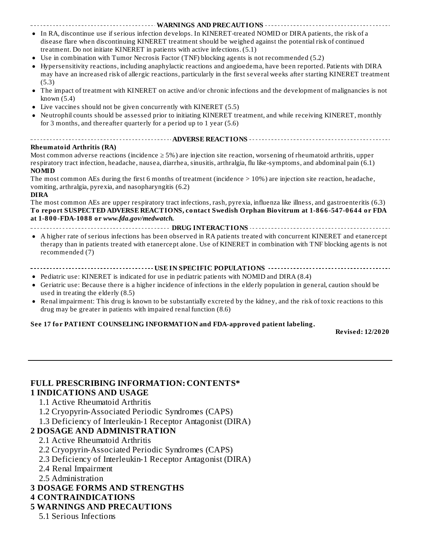**WARNINGS AND PRECAUTIONS** In RA, discontinue use if serious infection develops. In KINERET-treated NOMID or DIRA patients, the risk of a disease flare when discontinuing KINERET treatment should be weighed against the potential risk of continued treatment. Do not initiate KINERET in patients with active infections. (5.1)

- Use in combination with Tumor Necrosis Factor (TNF) blocking agents is not recommended (5.2)
- Hypersensitivity reactions, including anaphylactic reactions and angioedema, have been reported. Patients with DIRA may have an increased risk of allergic reactions, particularly in the first several weeks after starting KINERET treatment (5.3)
- $\bullet$ The impact of treatment with KINERET on active and/or chronic infections and the development of malignancies is not known (5.4)
- Live vaccines should not be given concurrently with KINERET (5.5)
- Neutrophil counts should be assessed prior to initiating KINERET treatment, and while receiving KINERET, monthly for 3 months, and thereafter quarterly for a period up to 1 year (5.6)

#### **ADVERSE REACTIONS Rheumatoid Arthritis (RA)**

Most common adverse reactions (incidence  $\geq$  5%) are injection site reaction, worsening of rheumatoid arthritis, upper respiratory tract infection, headache, nausea, diarrhea, sinusitis, arthralgia, flu like-symptoms, and abdominal pain (6.1) **NOMID**

The most common AEs during the first 6 months of treatment (incidence > 10%) are injection site reaction, headache, vomiting, arthralgia, pyrexia, and nasopharyngitis (6.2)

#### **DIRA**

The most common AEs are upper respiratory tract infections, rash, pyrexia, influenza like illness, and gastroenteritis (6.3) **To report SUSPECTED ADVERSE REACTIONS, contact Swedish Orphan Biovitrum at 1-866-547-0644 or FDA at 1-800-FDA-1088 or** *www.fda.gov/medwatch.*

**DRUG INTERACTIONS**

A higher rate of serious infections has been observed in RA patients treated with concurrent KINERET and etanercept therapy than in patients treated with etanercept alone. Use of KINERET in combination with TNF blocking agents is not recommended (7)

#### **USE IN SPECIFIC POPULATIONS**

- Pediatric use: KINERET is indicated for use in pediatric patients with NOMID and DIRA (8.4)
- Geriatric use: Because there is a higher incidence of infections in the elderly population in general, caution should be used in treating the elderly (8.5)
- Renal impairment: This drug is known to be substantially excreted by the kidney, and the risk of toxic reactions to this  $\bullet$ drug may be greater in patients with impaired renal function (8.6)

#### **See 17 for PATIENT COUNSELING INFORMATION and FDA-approved patient labeling.**

**Revised: 12/2020**

# **FULL PRESCRIBING INFORMATION: CONTENTS\***

#### **1 INDICATIONS AND USAGE**

- 1.1 Active Rheumatoid Arthritis
- 1.2 Cryopyrin-Associated Periodic Syndromes (CAPS)
- 1.3 Deficiency of Interleukin-1 Receptor Antagonist (DIRA)

#### **2 DOSAGE AND ADMINISTRATION**

- 2.1 Active Rheumatoid Arthritis
- 2.2 Cryopyrin-Associated Periodic Syndromes (CAPS)
- 2.3 Deficiency of Interleukin-1 Receptor Antagonist (DIRA)
- 2.4 Renal Impairment
- 2.5 Administration
- **3 DOSAGE FORMS AND STRENGTHS**
- **4 CONTRAINDICATIONS**

#### **5 WARNINGS AND PRECAUTIONS**

5.1 Serious Infections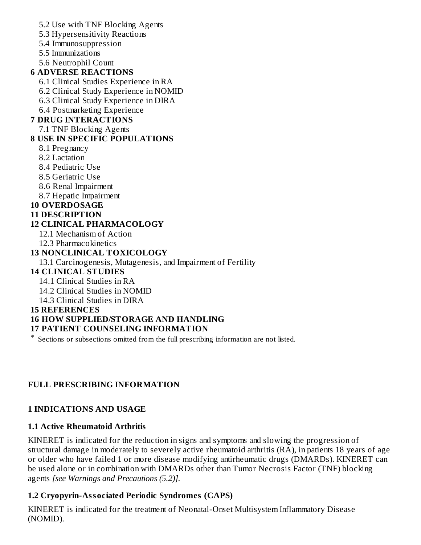5.2 Use with TNF Blocking Agents 5.3 Hypersensitivity Reactions 5.4 Immunosuppression 5.5 Immunizations 5.6 Neutrophil Count **6 ADVERSE REACTIONS** 6.1 Clinical Studies Experience in RA 6.2 Clinical Study Experience in NOMID 6.3 Clinical Study Experience in DIRA 6.4 Postmarketing Experience **7 DRUG INTERACTIONS** 7.1 TNF Blocking Agents **8 USE IN SPECIFIC POPULATIONS** 8.1 Pregnancy 8.2 Lactation 8.4 Pediatric Use 8.5 Geriatric Use 8.6 Renal Impairment 8.7 Hepatic Impairment **10 OVERDOSAGE 11 DESCRIPTION 12 CLINICAL PHARMACOLOGY** 12.1 Mechanism of Action 12.3 Pharmacokinetics **13 NONCLINICAL TOXICOLOGY** 13.1 Carcinogenesis, Mutagenesis, and Impairment of Fertility **14 CLINICAL STUDIES** 14.1 Clinical Studies in RA 14.2 Clinical Studies in NOMID 14.3 Clinical Studies in DIRA **15 REFERENCES 16 HOW SUPPLIED/STORAGE AND HANDLING 17 PATIENT COUNSELING INFORMATION**

\* Sections or subsections omitted from the full prescribing information are not listed.

## **FULL PRESCRIBING INFORMATION**

## **1 INDICATIONS AND USAGE**

#### **1.1 Active Rheumatoid Arthritis**

KINERET is indicated for the reduction in signs and symptoms and slowing the progression of structural damage in moderately to severely active rheumatoid arthritis (RA), in patients 18 years of age or older who have failed 1 or more disease modifying antirheumatic drugs (DMARDs). KINERET can be used alone or in combination with DMARDs other than Tumor Necrosis Factor (TNF) blocking agents *[see Warnings and Precautions (5.2)].*

## **1.2 Cryopyrin-Associated Periodic Syndromes (CAPS)**

KINERET is indicated for the treatment of Neonatal-Onset Multisystem Inflammatory Disease (NOMID).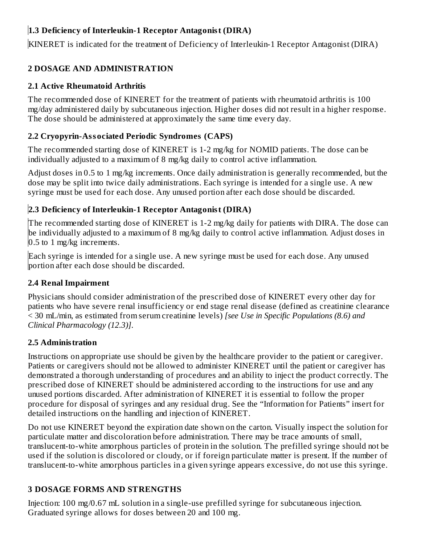# **1.3 Deficiency of Interleukin-1 Receptor Antagonist (DIRA)**

KINERET is indicated for the treatment of Deficiency of Interleukin-1 Receptor Antagonist (DIRA)

# **2 DOSAGE AND ADMINISTRATION**

# **2.1 Active Rheumatoid Arthritis**

The recommended dose of KINERET for the treatment of patients with rheumatoid arthritis is 100 mg/day administered daily by subcutaneous injection. Higher doses did not result in a higher response. The dose should be administered at approximately the same time every day.

# **2.2 Cryopyrin-Associated Periodic Syndromes (CAPS)**

The recommended starting dose of KINERET is 1-2 mg/kg for NOMID patients. The dose can be individually adjusted to a maximum of 8 mg/kg daily to control active inflammation.

Adjust doses in 0.5 to 1 mg/kg increments. Once daily administration is generally recommended, but the dose may be split into twice daily administrations. Each syringe is intended for a single use. A new syringe must be used for each dose. Any unused portion after each dose should be discarded.

# **2.3 Deficiency of Interleukin-1 Receptor Antagonist (DIRA)**

The recommended starting dose of KINERET is 1-2 mg/kg daily for patients with DIRA. The dose can be individually adjusted to a maximum of 8 mg/kg daily to control active inflammation. Adjust doses in 0.5 to 1 mg/kg increments.

Each syringe is intended for a single use. A new syringe must be used for each dose. Any unused portion after each dose should be discarded.

# **2.4 Renal Impairment**

Physicians should consider administration of the prescribed dose of KINERET every other day for patients who have severe renal insufficiency or end stage renal disease (defined as creatinine clearance < 30 mL/min, as estimated from serum creatinine levels) *[see Use in Specific Populations (8.6) and Clinical Pharmacology (12.3)]*.

# **2.5 Administration**

Instructions on appropriate use should be given by the healthcare provider to the patient or caregiver. Patients or caregivers should not be allowed to administer KINERET until the patient or caregiver has demonstrated a thorough understanding of procedures and an ability to inject the product correctly. The prescribed dose of KINERET should be administered according to the instructions for use and any unused portions discarded. After administration of KINERET it is essential to follow the proper procedure for disposal of syringes and any residual drug. See the "Information for Patients" insert for detailed instructions on the handling and injection of KINERET.

Do not use KINERET beyond the expiration date shown on the carton. Visually inspect the solution for particulate matter and discoloration before administration. There may be trace amounts of small, translucent-to-white amorphous particles of protein in the solution. The prefilled syringe should not be used if the solution is discolored or cloudy, or if foreign particulate matter is present. If the number of translucent-to-white amorphous particles in a given syringe appears excessive, do not use this syringe.

# **3 DOSAGE FORMS AND STRENGTHS**

Injection: 100 mg/0.67 mL solution in a single-use prefilled syringe for subcutaneous injection. Graduated syringe allows for doses between 20 and 100 mg.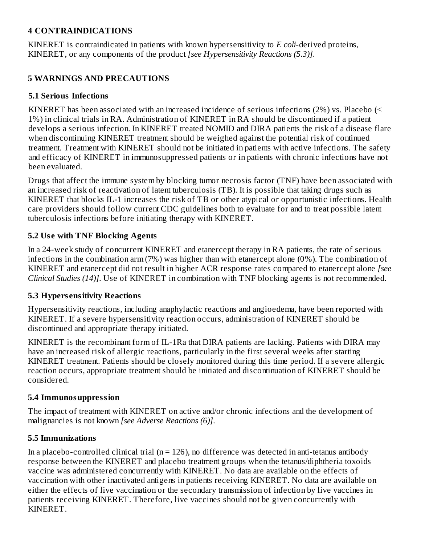#### **4 CONTRAINDICATIONS**

KINERET is contraindicated in patients with known hypersensitivity to *E coli*-derived proteins, KINERET, or any components of the product *[see Hypersensitivity Reactions (5.3)]*.

## **5 WARNINGS AND PRECAUTIONS**

## **5.1 Serious Infections**

KINERET has been associated with an increased incidence of serious infections (2%) vs. Placebo (< 1%) in clinical trials in RA. Administration of KINERET in RA should be discontinued if a patient develops a serious infection. In KINERET treated NOMID and DIRA patients the risk of a disease flare when discontinuing KINERET treatment should be weighed against the potential risk of continued treatment. Treatment with KINERET should not be initiated in patients with active infections. The safety and efficacy of KINERET in immunosuppressed patients or in patients with chronic infections have not been evaluated.

Drugs that affect the immune system by blocking tumor necrosis factor (TNF) have been associated with an increased risk of reactivation of latent tuberculosis (TB). It is possible that taking drugs such as KINERET that blocks IL-1 increases the risk of TB or other atypical or opportunistic infections. Health care providers should follow current CDC guidelines both to evaluate for and to treat possible latent tuberculosis infections before initiating therapy with KINERET.

## **5.2 Us e with TNF Blocking Agents**

In a 24-week study of concurrent KINERET and etanercept therapy in RA patients, the rate of serious infections in the combination arm (7%) was higher than with etanercept alone (0%). The combination of KINERET and etanercept did not result in higher ACR response rates compared to etanercept alone *[see Clinical Studies (14)]*. Use of KINERET in combination with TNF blocking agents is not recommended.

## **5.3 Hypers ensitivity Reactions**

Hypersensitivity reactions, including anaphylactic reactions and angioedema, have been reported with KINERET. If a severe hypersensitivity reaction occurs, administration of KINERET should be discontinued and appropriate therapy initiated.

KINERET is the recombinant form of IL-1Ra that DIRA patients are lacking. Patients with DIRA may have an increased risk of allergic reactions, particularly in the first several weeks after starting KINERET treatment. Patients should be closely monitored during this time period. If a severe allergic reaction occurs, appropriate treatment should be initiated and discontinuation of KINERET should be considered.

## **5.4 Immunosuppression**

The impact of treatment with KINERET on active and/or chronic infections and the development of malignancies is not known *[see Adverse Reactions (6)]*.

## **5.5 Immunizations**

In a placebo-controlled clinical trial ( $n = 126$ ), no difference was detected in anti-tetanus antibody response between the KINERET and placebo treatment groups when the tetanus/diphtheria toxoids vaccine was administered concurrently with KINERET. No data are available on the effects of vaccination with other inactivated antigens in patients receiving KINERET. No data are available on either the effects of live vaccination or the secondary transmission of infection by live vaccines in patients receiving KINERET. Therefore, live vaccines should not be given concurrently with KINERET.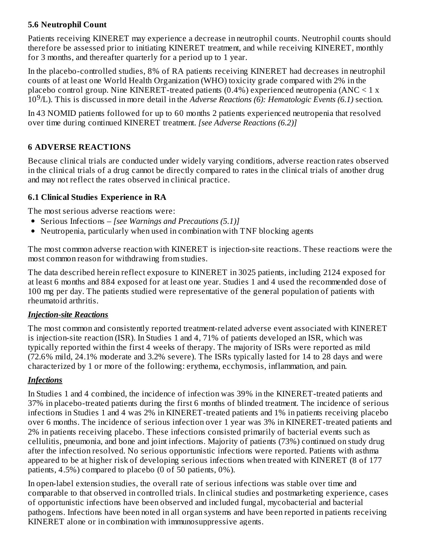#### **5.6 Neutrophil Count**

Patients receiving KINERET may experience a decrease in neutrophil counts. Neutrophil counts should therefore be assessed prior to initiating KINERET treatment, and while receiving KINERET, monthly for 3 months, and thereafter quarterly for a period up to 1 year.

In the placebo-controlled studies, 8% of RA patients receiving KINERET had decreases in neutrophil counts of at least one World Health Organization (WHO) toxicity grade compared with 2% in the placebo control group. Nine KINERET-treated patients  $(0.4\%)$  experienced neutropenia  $(ANC < 1 x)$ 10 /L). This is discussed in more detail in the *Adverse Reactions (6): Hematologic Events (6.1)* section. 9

In 43 NOMID patients followed for up to 60 months 2 patients experienced neutropenia that resolved over time during continued KINERET treatment. *[see Adverse Reactions (6.2)]*

#### **6 ADVERSE REACTIONS**

Because clinical trials are conducted under widely varying conditions, adverse reaction rates observed in the clinical trials of a drug cannot be directly compared to rates in the clinical trials of another drug and may not reflect the rates observed in clinical practice.

#### **6.1 Clinical Studies Experience in RA**

The most serious adverse reactions were:

- Serious Infections *[see Warnings and Precautions (5.1)]*
- Neutropenia, particularly when used in combination with TNF blocking agents

The most common adverse reaction with KINERET is injection-site reactions. These reactions were the most common reason for withdrawing from studies.

The data described herein reflect exposure to KINERET in 3025 patients, including 2124 exposed for at least 6 months and 884 exposed for at least one year. Studies 1 and 4 used the recommended dose of 100 mg per day. The patients studied were representative of the general population of patients with rheumatoid arthritis.

#### *Injection-site Reactions*

The most common and consistently reported treatment-related adverse event associated with KINERET is injection-site reaction (ISR). In Studies 1 and 4, 71% of patients developed an ISR, which was typically reported within the first 4 weeks of therapy. The majority of ISRs were reported as mild (72.6% mild, 24.1% moderate and 3.2% severe). The ISRs typically lasted for 14 to 28 days and were characterized by 1 or more of the following: erythema, ecchymosis, inflammation, and pain.

#### *Infections*

In Studies 1 and 4 combined, the incidence of infection was 39% in the KINERET-treated patients and 37% in placebo-treated patients during the first 6 months of blinded treatment. The incidence of serious infections in Studies 1 and 4 was 2% in KINERET-treated patients and 1% in patients receiving placebo over 6 months. The incidence of serious infection over 1 year was 3% in KINERET-treated patients and 2% in patients receiving placebo. These infections consisted primarily of bacterial events such as cellulitis, pneumonia, and bone and joint infections. Majority of patients (73%) continued on study drug after the infection resolved. No serious opportunistic infections were reported. Patients with asthma appeared to be at higher risk of developing serious infections when treated with KINERET (8 of 177 patients, 4.5%) compared to placebo (0 of 50 patients, 0%).

In open-label extension studies, the overall rate of serious infections was stable over time and comparable to that observed in controlled trials. In clinical studies and postmarketing experience, cases of opportunistic infections have been observed and included fungal, mycobacterial and bacterial pathogens. Infections have been noted in all organ systems and have been reported in patients receiving KINERET alone or in combination with immunosuppressive agents.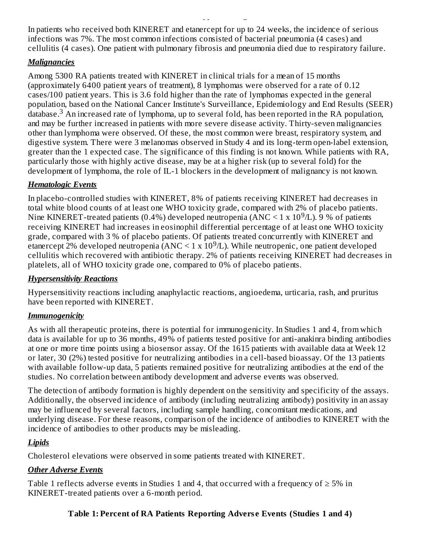In patients who received both KINERET and etanercept for up to 24 weeks, the incidence of serious infections was 7%. The most common infections consisted of bacterial pneumonia (4 cases) and cellulitis (4 cases). One patient with pulmonary fibrosis and pneumonia died due to respiratory failure.

KINERET alone or in combination with immunosuppressive agents.

#### *Malignancies*

Among 5300 RA patients treated with KINERET in clinical trials for a mean of 15 months (approximately 6400 patient years of treatment), 8 lymphomas were observed for a rate of 0.12 cases/100 patient years. This is 3.6 fold higher than the rate of lymphomas expected in the general population, based on the National Cancer Institute's Surveillance, Epidemiology and End Results (SEER)  $\rm d$ atabase.<sup>3</sup> An increased rate of lymphoma, up to several fold, has been reported in the RA population, and may be further increased in patients with more severe disease activity. Thirty-seven malignancies other than lymphoma were observed. Of these, the most common were breast, respiratory system, and digestive system. There were 3 melanomas observed in Study 4 and its long-term open-label extension, greater than the 1 expected case. The significance of this finding is not known. While patients with RA, particularly those with highly active disease, may be at a higher risk (up to several fold) for the development of lymphoma, the role of IL-1 blockers in the development of malignancy is not known.

## *Hematologic Events*

In placebo-controlled studies with KINERET, 8% of patients receiving KINERET had decreases in total white blood counts of at least one WHO toxicity grade, compared with 2% of placebo patients. Nine KINERET-treated patients (0.4%) developed neutropenia ( $\rm{ANC}$  < 1 x 10<sup>9</sup>/L). 9 % of patients receiving KINERET had increases in eosinophil differential percentage of at least one WHO toxicity grade, compared with 3 % of placebo patients. Of patients treated concurrently with KINERET and etanercept 2% developed neutropenia (ANC < 1 x  $10^9$ /L). While neutropenic, one patient developed cellulitis which recovered with antibiotic therapy. 2% of patients receiving KINERET had decreases in platelets, all of WHO toxicity grade one, compared to 0% of placebo patients.

## *Hypersensitivity Reactions*

Hypersensitivity reactions including anaphylactic reactions, angioedema, urticaria, rash, and pruritus have been reported with KINERET.

# *Immunogenicity*

As with all therapeutic proteins, there is potential for immunogenicity. In Studies 1 and 4, from which data is available for up to 36 months, 49% of patients tested positive for anti-anakinra binding antibodies at one or more time points using a biosensor assay. Of the 1615 patients with available data at Week 12 or later, 30 (2%) tested positive for neutralizing antibodies in a cell-based bioassay. Of the 13 patients with available follow-up data, 5 patients remained positive for neutralizing antibodies at the end of the studies. No correlation between antibody development and adverse events was observed.

The detection of antibody formation is highly dependent on the sensitivity and specificity of the assays. Additionally, the observed incidence of antibody (including neutralizing antibody) positivity in an assay may be influenced by several factors, including sample handling, concomitant medications, and underlying disease. For these reasons, comparison of the incidence of antibodies to KINERET with the incidence of antibodies to other products may be misleading.

# *Lipids*

Cholesterol elevations were observed in some patients treated with KINERET.

# *Other Adverse Events*

Table 1 reflects adverse events in Studies 1 and 4, that occurred with a frequency of  $\geq 5\%$  in KINERET-treated patients over a 6-month period.

# **Table 1: Percent of RA Patients Reporting Advers e Events (Studies 1 and 4)**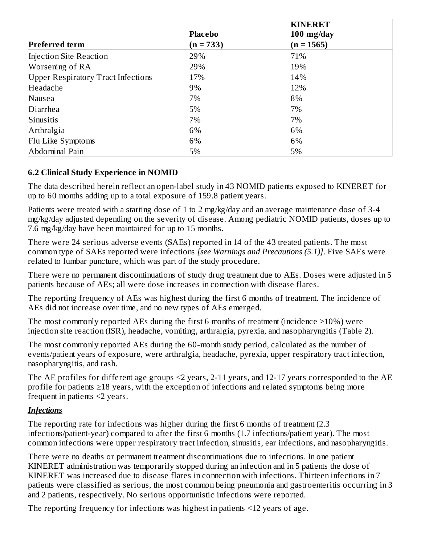|                                           |                | <b>KINERET</b> |  |
|-------------------------------------------|----------------|----------------|--|
|                                           | <b>Placebo</b> | $100$ mg/day   |  |
| <b>Preferred term</b>                     | $(n = 733)$    | $(n = 1565)$   |  |
| Injection Site Reaction                   | 29%            | 71%            |  |
| Worsening of RA                           | 29%            | 19%            |  |
| <b>Upper Respiratory Tract Infections</b> | 17%            | 14%            |  |
| Headache                                  | 9%             | 12%            |  |
| Nausea                                    | 7%             | 8%             |  |
| Diarrhea                                  | 5%             | 7%             |  |
| Sinusitis                                 | 7%             | 7%             |  |
| Arthralgia                                | 6%             | 6%             |  |
| Flu Like Symptoms                         | 6%             | 6%             |  |
| Abdominal Pain                            | 5%             | 5%             |  |

## **6.2 Clinical Study Experience in NOMID**

The data described herein reflect an open-label study in 43 NOMID patients exposed to KINERET for up to 60 months adding up to a total exposure of 159.8 patient years.

Patients were treated with a starting dose of 1 to 2 mg/kg/day and an average maintenance dose of 3-4 mg/kg/day adjusted depending on the severity of disease. Among pediatric NOMID patients, doses up to 7.6 mg/kg/day have been maintained for up to 15 months.

There were 24 serious adverse events (SAEs) reported in 14 of the 43 treated patients. The most common type of SAEs reported were infections *[see Warnings and Precautions (5.1)]*. Five SAEs were related to lumbar puncture, which was part of the study procedure.

There were no permanent discontinuations of study drug treatment due to AEs. Doses were adjusted in 5 patients because of AEs; all were dose increases in connection with disease flares.

The reporting frequency of AEs was highest during the first 6 months of treatment. The incidence of AEs did not increase over time, and no new types of AEs emerged.

The most commonly reported AEs during the first 6 months of treatment (incidence >10%) were injection site reaction (ISR), headache, vomiting, arthralgia, pyrexia, and nasopharyngitis (Table 2).

The most commonly reported AEs during the 60-month study period, calculated as the number of events/patient years of exposure, were arthralgia, headache, pyrexia, upper respiratory tract infection, nasopharyngitis, and rash.

The AE profiles for different age groups <2 years, 2-11 years, and 12-17 years corresponded to the AE profile for patients ≥18 years, with the exception of infections and related symptoms being more frequent in patients <2 years.

#### *Infections*

The reporting rate for infections was higher during the first 6 months of treatment (2.3) infections/patient-year) compared to after the first 6 months (1.7 infections/patient year). The most common infections were upper respiratory tract infection, sinusitis, ear infections, and nasopharyngitis.

There were no deaths or permanent treatment discontinuations due to infections. In one patient KINERET administration was temporarily stopped during an infection and in 5 patients the dose of KINERET was increased due to disease flares in connection with infections. Thirteen infections in 7 patients were classified as serious, the most common being pneumonia and gastroenteritis occurring in 3 and 2 patients, respectively. No serious opportunistic infections were reported.

The reporting frequency for infections was highest in patients <12 years of age.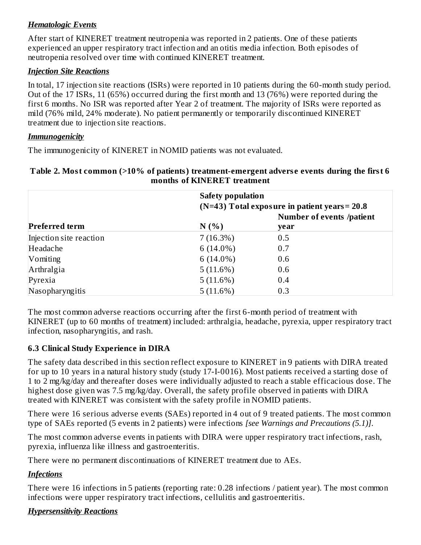#### *Hematologic Events*

After start of KINERET treatment neutropenia was reported in 2 patients. One of these patients experienced an upper respiratory tract infection and an otitis media infection. Both episodes of neutropenia resolved over time with continued KINERET treatment.

#### *Injection Site Reactions*

In total, 17 injection site reactions (ISRs) were reported in 10 patients during the 60-month study period. Out of the 17 ISRs, 11 (65%) occurred during the first month and 13 (76%) were reported during the first 6 months. No ISR was reported after Year 2 of treatment. The majority of ISRs were reported as mild (76% mild, 24% moderate). No patient permanently or temporarily discontinued KINERET treatment due to injection site reactions.

#### *Immunogenicity*

The immunogenicity of KINERET in NOMID patients was not evaluated.

#### **Table 2. Most common (>10% of patients) treatment-emergent advers e events during the first 6 months of KINERET treatment**

|                         | <b>Safety population</b><br>$(N=43)$ Total exposure in patient years = 20.8 |                                  |  |  |
|-------------------------|-----------------------------------------------------------------------------|----------------------------------|--|--|
|                         |                                                                             | <b>Number of events /patient</b> |  |  |
| <b>Preferred term</b>   | N(%                                                                         | year                             |  |  |
| Injection site reaction | 7(16.3%)                                                                    | 0.5                              |  |  |
| Headache                | 6 $(14.0\%)$                                                                | 0.7                              |  |  |
| Vomiting                | 6 $(14.0\%)$                                                                | 0.6                              |  |  |
| Arthralgia              | 5(11.6%)                                                                    | 0.6                              |  |  |
| Pyrexia                 | 5(11.6%)                                                                    | 0.4                              |  |  |
| Nasopharyngitis         | 5(11.6%)                                                                    | 0.3                              |  |  |

The most common adverse reactions occurring after the first 6-month period of treatment with KINERET (up to 60 months of treatment) included: arthralgia, headache, pyrexia, upper respiratory tract infection, nasopharyngitis, and rash.

## **6.3 Clinical Study Experience in DIRA**

The safety data described in this section reflect exposure to KINERET in 9 patients with DIRA treated for up to 10 years in a natural history study (study 17-I-0016). Most patients received a starting dose of 1 to 2 mg/kg/day and thereafter doses were individually adjusted to reach a stable efficacious dose. The highest dose given was 7.5 mg/kg/day. Overall, the safety profile observed in patients with DIRA treated with KINERET was consistent with the safety profile in NOMID patients.

There were 16 serious adverse events (SAEs) reported in 4 out of 9 treated patients. The most common type of SAEs reported (5 events in 2 patients) were infections *[see Warnings and Precautions (5.1)]*.

The most common adverse events in patients with DIRA were upper respiratory tract infections, rash, pyrexia, influenza like illness and gastroenteritis.

There were no permanent discontinuations of KINERET treatment due to AEs.

## *Infections*

There were 16 infections in 5 patients (reporting rate: 0.28 infections / patient year). The most common infections were upper respiratory tract infections, cellulitis and gastroenteritis.

## *Hypersensitivity Reactions*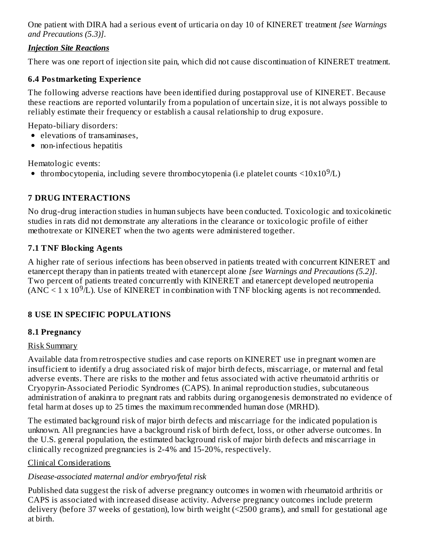One patient with DIRA had a serious event of urticaria on day 10 of KINERET treatment *[see Warnings and Precautions (5.3)]*.

#### *Injection Site Reactions*

There was one report of injection site pain, which did not cause discontinuation of KINERET treatment.

#### **6.4 Postmarketing Experience**

The following adverse reactions have been identified during postapproval use of KINERET. Because these reactions are reported voluntarily from a population of uncertain size, it is not always possible to reliably estimate their frequency or establish a causal relationship to drug exposure.

Hepato-biliary disorders:

- elevations of transaminases,
- non-infectious hepatitis

Hematologic events:

thrombocytopenia, including severe thrombocytopenia (i.e platelet counts  $\langle 10x10^9/L \rangle$ 

# **7 DRUG INTERACTIONS**

No drug-drug interaction studies in human subjects have been conducted. Toxicologic and toxicokinetic studies in rats did not demonstrate any alterations in the clearance or toxicologic profile of either methotrexate or KINERET when the two agents were administered together.

## **7.1 TNF Blocking Agents**

A higher rate of serious infections has been observed in patients treated with concurrent KINERET and etanercept therapy than in patients treated with etanercept alone *[see Warnings and Precautions (5.2)]*. Two percent of patients treated concurrently with KINERET and etanercept developed neutropenia  $(ANC < 1 x 10<sup>9</sup>/L)$ . Use of KINERET in combination with TNF blocking agents is not recommended.

## **8 USE IN SPECIFIC POPULATIONS**

## **8.1 Pregnancy**

## Risk Summary

Available data from retrospective studies and case reports on KINERET use in pregnant women are insufficient to identify a drug associated risk of major birth defects, miscarriage, or maternal and fetal adverse events. There are risks to the mother and fetus associated with active rheumatoid arthritis or Cryopyrin-Associated Periodic Syndromes (CAPS). In animal reproduction studies, subcutaneous administration of anakinra to pregnant rats and rabbits during organogenesis demonstrated no evidence of fetal harm at doses up to 25 times the maximum recommended human dose (MRHD).

The estimated background risk of major birth defects and miscarriage for the indicated population is unknown. All pregnancies have a background risk of birth defect, loss, or other adverse outcomes. In the U.S. general population, the estimated background risk of major birth defects and miscarriage in clinically recognized pregnancies is 2-4% and 15-20%, respectively.

## Clinical Considerations

## *Disease-associated maternal and/or embryo/fetal risk*

Published data suggest the risk of adverse pregnancy outcomes in women with rheumatoid arthritis or CAPS is associated with increased disease activity. Adverse pregnancy outcomes include preterm delivery (before 37 weeks of gestation), low birth weight (<2500 grams), and small for gestational age at birth.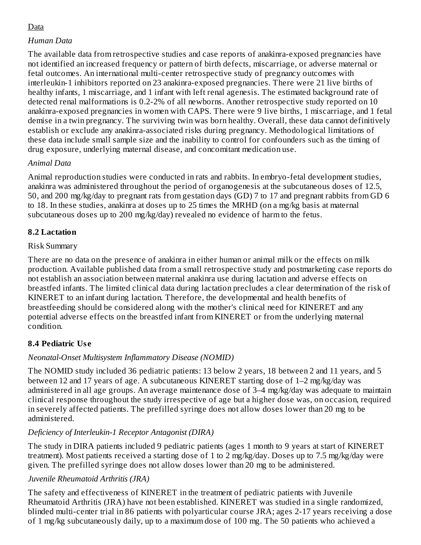## Data

#### *Human Data*

The available data from retrospective studies and case reports of anakinra-exposed pregnancies have not identified an increased frequency or pattern of birth defects, miscarriage, or adverse maternal or fetal outcomes. An international multi-center retrospective study of pregnancy outcomes with interleukin-1 inhibitors reported on 23 anakinra-exposed pregnancies. There were 21 live births of healthy infants, 1 miscarriage, and 1 infant with left renal agenesis. The estimated background rate of detected renal malformations is 0.2-2% of all newborns. Another retrospective study reported on 10 anakinra-exposed pregnancies in women with CAPS. There were 9 live births, 1 miscarriage, and 1 fetal demise in a twin pregnancy. The surviving twin was born healthy. Overall, these data cannot definitively establish or exclude any anakinra-associated risks during pregnancy. Methodological limitations of these data include small sample size and the inability to control for confounders such as the timing of drug exposure, underlying maternal disease, and concomitant medication use.

## *Animal Data*

Animal reproduction studies were conducted in rats and rabbits. In embryo-fetal development studies, anakinra was administered throughout the period of organogenesis at the subcutaneous doses of 12.5, 50, and 200 mg/kg/day to pregnant rats from gestation days (GD) 7 to 17 and pregnant rabbits from GD 6 to 18. In these studies, anakinra at doses up to 25 times the MRHD (on a mg/kg basis at maternal subcutaneous doses up to 200 mg/kg/day) revealed no evidence of harm to the fetus.

## **8.2 Lactation**

#### Risk Summary

There are no data on the presence of anakinra in either human or animal milk or the effects on milk production. Available published data from a small retrospective study and postmarketing case reports do not establish an association between maternal anakinra use during lactation and adverse effects on breastfed infants. The limited clinical data during lactation precludes a clear determination of the risk of KINERET to an infant during lactation. Therefore, the developmental and health benefits of breastfeeding should be considered along with the mother's clinical need for KINERET and any potential adverse effects on the breastfed infant from KINERET or from the underlying maternal condition.

## **8.4 Pediatric Us e**

## *Neonatal-Onset Multisystem Inflammatory Disease (NOMID)*

The NOMID study included 36 pediatric patients: 13 below 2 years, 18 between 2 and 11 years, and 5 between 12 and 17 years of age. A subcutaneous KINERET starting dose of 1–2 mg/kg/day was administered in all age groups. An average maintenance dose of 3–4 mg/kg/day was adequate to maintain clinical response throughout the study irrespective of age but a higher dose was, on occasion, required in severely affected patients. The prefilled syringe does not allow doses lower than 20 mg to be administered.

## *Deficiency of Interleukin-1 Receptor Antagonist (DIRA)*

The study in DIRA patients included 9 pediatric patients (ages 1 month to 9 years at start of KINERET treatment). Most patients received a starting dose of 1 to 2 mg/kg/day. Doses up to 7.5 mg/kg/day were given. The prefilled syringe does not allow doses lower than 20 mg to be administered.

#### *Juvenile Rheumatoid Arthritis (JRA)*

The safety and effectiveness of KINERET in the treatment of pediatric patients with Juvenile Rheumatoid Arthritis (JRA) have not been established. KINERET was studied in a single randomized, blinded multi-center trial in 86 patients with polyarticular course JRA; ages 2-17 years receiving a dose of 1 mg/kg subcutaneously daily, up to a maximum dose of 100 mg. The 50 patients who achieved a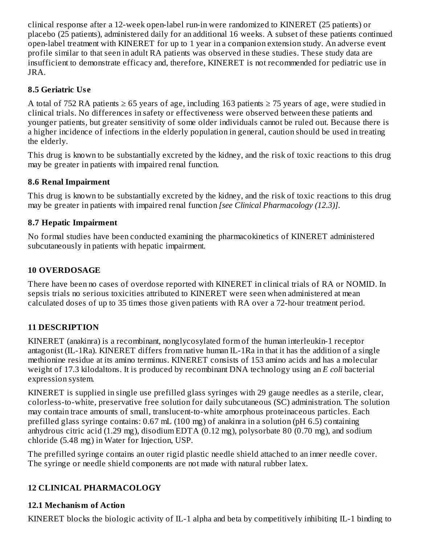clinical response after a 12-week open-label run-in were randomized to KINERET (25 patients) or placebo (25 patients), administered daily for an additional 16 weeks. A subset of these patients continued open-label treatment with KINERET for up to 1 year in a companion extension study. An adverse event profile similar to that seen in adult RA patients was observed in these studies. These study data are insufficient to demonstrate efficacy and, therefore, KINERET is not recommended for pediatric use in JRA.

## **8.5 Geriatric Us e**

A total of 752 RA patients ≥ 65 years of age, including 163 patients ≥ 75 years of age, were studied in clinical trials. No differences in safety or effectiveness were observed between these patients and younger patients, but greater sensitivity of some older individuals cannot be ruled out. Because there is a higher incidence of infections in the elderly population in general, caution should be used in treating the elderly.

This drug is known to be substantially excreted by the kidney, and the risk of toxic reactions to this drug may be greater in patients with impaired renal function.

# **8.6 Renal Impairment**

This drug is known to be substantially excreted by the kidney, and the risk of toxic reactions to this drug may be greater in patients with impaired renal function *[see Clinical Pharmacology (12.3)]*.

# **8.7 Hepatic Impairment**

No formal studies have been conducted examining the pharmacokinetics of KINERET administered subcutaneously in patients with hepatic impairment.

# **10 OVERDOSAGE**

There have been no cases of overdose reported with KINERET in clinical trials of RA or NOMID. In sepsis trials no serious toxicities attributed to KINERET were seen when administered at mean calculated doses of up to 35 times those given patients with RA over a 72-hour treatment period.

# **11 DESCRIPTION**

KINERET (anakinra) is a recombinant, nonglycosylated form of the human interleukin-1 receptor antagonist (IL-1Ra). KINERET differs from native human IL-1Ra in that it has the addition of a single methionine residue at its amino terminus. KINERET consists of 153 amino acids and has a molecular weight of 17.3 kilodaltons. It is produced by recombinant DNA technology using an *E coli* bacterial expression system.

KINERET is supplied in single use prefilled glass syringes with 29 gauge needles as a sterile, clear, colorless-to-white, preservative free solution for daily subcutaneous (SC) administration. The solution may contain trace amounts of small, translucent-to-white amorphous proteinaceous particles. Each prefilled glass syringe contains: 0.67 mL (100 mg) of anakinra in a solution (pH 6.5) containing anhydrous citric acid (1.29 mg), disodium EDTA (0.12 mg), polysorbate 80 (0.70 mg), and sodium chloride (5.48 mg) in Water for Injection, USP.

The prefilled syringe contains an outer rigid plastic needle shield attached to an inner needle cover. The syringe or needle shield components are not made with natural rubber latex.

# **12 CLINICAL PHARMACOLOGY**

# **12.1 Mechanism of Action**

KINERET blocks the biologic activity of IL-1 alpha and beta by competitively inhibiting IL-1 binding to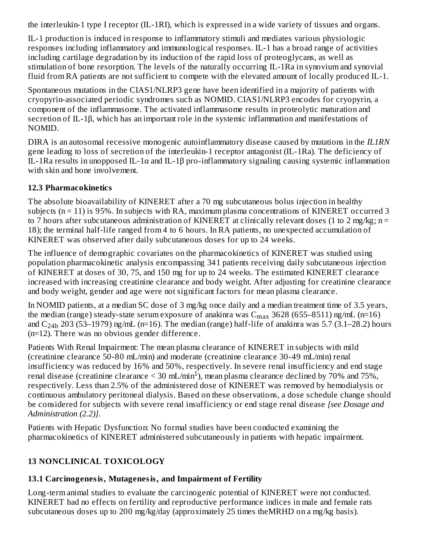the interleukin-1 type I receptor (IL-1RI), which is expressed in a wide variety of tissues and organs.

IL-1 production is induced in response to inflammatory stimuli and mediates various physiologic responses including inflammatory and immunological responses. IL-1 has a broad range of activities including cartilage degradation by its induction of the rapid loss of proteoglycans, as well as stimulation of bone resorption. The levels of the naturally occurring IL-1Ra in synovium and synovial fluid from RA patients are not sufficient to compete with the elevated amount of locally produced IL-1.

Spontaneous mutations in the CIAS1/NLRP3 gene have been identified in a majority of patients with cryopyrin-associated periodic syndromes such as NOMID. CIAS1/NLRP3 encodes for cryopyrin, a component of the inflammasome. The activated inflammasome results in proteolytic maturation and secretion of IL-1β, which has an important role in the systemic inflammation and manifestations of NOMID.

DIRA is an autosomal recessive monogenic autoinflammatory disease caused by mutations in the *IL1RN* gene leading to loss of secretion of the interleukin-1 receptor antagonist (IL-1Ra). The deficiency of IL-1Ra results in unopposed IL-1α and IL-1β pro-inflammatory signaling causing systemic inflammation with skin and bone involvement.

## **12.3 Pharmacokinetics**

The absolute bioavailability of KINERET after a 70 mg subcutaneous bolus injection in healthy subjects (n = 11) is 95%. In subjects with RA, maximum plasma concentrations of KINERET occurred 3 to 7 hours after subcutaneous administration of KINERET at clinically relevant doses (1 to 2 mg/kg;  $n =$ 18); the terminal half-life ranged from 4 to 6 hours. In RA patients, no unexpected accumulation of KINERET was observed after daily subcutaneous doses for up to 24 weeks.

The influence of demographic covariates on the pharmacokinetics of KINERET was studied using population pharmacokinetic analysis encompassing 341 patients receiving daily subcutaneous injection of KINERET at doses of 30, 75, and 150 mg for up to 24 weeks. The estimated KINERET clearance increased with increasing creatinine clearance and body weight. After adjusting for creatinine clearance and body weight, gender and age were not significant factors for mean plasma clearance.

In NOMID patients, at a median SC dose of 3 mg/kg once daily and a median treatment time of 3.5 years, the median (range) steady-state serum exposure of anakinra was  $\rm C_{max}$  3628 (655–8511) ng/mL (n=16) and  $C_{24h}$  203 (53–1979) ng/mL (n=16). The median (range) half-life of anakinra was 5.7 (3.1–28.2) hours (n=12). There was no obvious gender difference.

Patients With Renal Impairment: The mean plasma clearance of KINERET in subjects with mild (creatinine clearance 50-80 mL/min) and moderate (creatinine clearance 30-49 mL/min) renal insufficiency was reduced by 16% and 50%, respectively. In severe renal insufficiency and end stage renal disease (creatinine clearance  $\leq 30 \text{ mL/min}^1$ ), mean plasma clearance declined by 70% and 75%, respectively. Less than 2.5% of the administered dose of KINERET was removed by hemodialysis or continuous ambulatory peritoneal dialysis. Based on these observations, a dose schedule change should be considered for subjects with severe renal insufficiency or end stage renal disease *[see Dosage and Administration (2.2)]*.

Patients with Hepatic Dysfunction: No formal studies have been conducted examining the pharmacokinetics of KINERET administered subcutaneously in patients with hepatic impairment.

# **13 NONCLINICAL TOXICOLOGY**

## **13.1 Carcinogenesis, Mutagenesis, and Impairment of Fertility**

Long-term animal studies to evaluate the carcinogenic potential of KINERET were not conducted. KINERET had no effects on fertility and reproductive performance indices in male and female rats subcutaneous doses up to 200 mg/kg/day (approximately 25 times theMRHD on a mg/kg basis).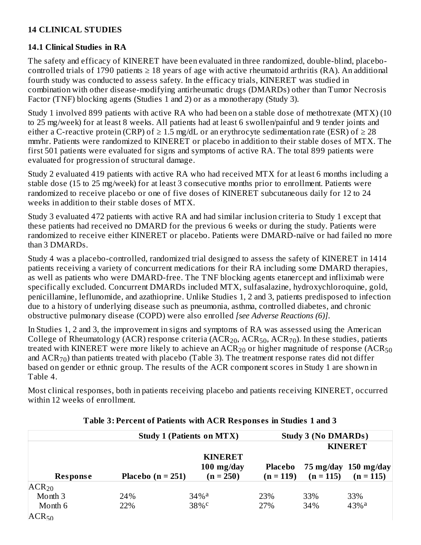#### **14 CLINICAL STUDIES**

#### **14.1 Clinical Studies in RA**

The safety and efficacy of KINERET have been evaluated in three randomized, double-blind, placebocontrolled trials of 1790 patients  $\geq$  18 years of age with active rheumatoid arthritis (RA). An additional fourth study was conducted to assess safety. In the efficacy trials, KINERET was studied in combination with other disease-modifying antirheumatic drugs (DMARDs) other than Tumor Necrosis Factor (TNF) blocking agents (Studies 1 and 2) or as a monotherapy (Study 3).

Study 1 involved 899 patients with active RA who had been on a stable dose of methotrexate (MTX) (10 to 25 mg/week) for at least 8 weeks. All patients had at least 6 swollen/painful and 9 tender joints and either a C-reactive protein (CRP) of  $\geq 1.5$  mg/dL or an erythrocyte sedimentation rate (ESR) of  $\geq 28$ mm/hr. Patients were randomized to KINERET or placebo in addition to their stable doses of MTX. The first 501 patients were evaluated for signs and symptoms of active RA. The total 899 patients were evaluated for progression of structural damage.

Study 2 evaluated 419 patients with active RA who had received MTX for at least 6 months including a stable dose (15 to 25 mg/week) for at least 3 consecutive months prior to enrollment. Patients were randomized to receive placebo or one of five doses of KINERET subcutaneous daily for 12 to 24 weeks in addition to their stable doses of MTX.

Study 3 evaluated 472 patients with active RA and had similar inclusion criteria to Study 1 except that these patients had received no DMARD for the previous 6 weeks or during the study. Patients were randomized to receive either KINERET or placebo. Patients were DMARD-naïve or had failed no more than 3 DMARDs.

Study 4 was a placebo-controlled, randomized trial designed to assess the safety of KINERET in 1414 patients receiving a variety of concurrent medications for their RA including some DMARD therapies, as well as patients who were DMARD-free. The TNF blocking agents etanercept and infliximab were specifically excluded. Concurrent DMARDs included MTX, sulfasalazine, hydroxychloroquine, gold, penicillamine, leflunomide, and azathioprine. Unlike Studies 1, 2 and 3, patients predisposed to infection due to a history of underlying disease such as pneumonia, asthma, controlled diabetes, and chronic obstructive pulmonary disease (COPD) were also enrolled *[see Adverse Reactions (6)]*.

In Studies 1, 2 and 3, the improvement in signs and symptoms of RA was assessed using the American College of Rheumatology (ACR) response criteria (ACR<sub>20</sub>, ACR<sub>50</sub>, ACR<sub>70</sub>). In these studies, patients treated with KINERET were more likely to achieve an  $\rm{ACR}_{20}$  or higher magnitude of response ( $\rm{ACR}_{50}$ and  $\rm{ACR_{70}}$ ) than patients treated with placebo (Table 3). The treatment response rates did not differ based on gender or ethnic group. The results of the ACR component scores in Study 1 are shown in Table 4.

Most clinical responses, both in patients receiving placebo and patients receiving KINERET, occurred within 12 weeks of enrollment.

|                 | <b>Study 1 (Patients on MTX)</b> |                                               |                        |             | <b>Study 3 (No DMARDs)</b>                    |
|-----------------|----------------------------------|-----------------------------------------------|------------------------|-------------|-----------------------------------------------|
|                 |                                  |                                               |                        |             | <b>KINERET</b>                                |
| <b>Response</b> | Placebo ( $n = 251$ )            | <b>KINERET</b><br>$100$ mg/day<br>$(n = 250)$ | Placebo<br>$(n = 119)$ | $(n = 115)$ | $75 \text{ mg/day}$ 150 mg/day<br>$(n = 115)$ |
| $ACR_{20}$      |                                  |                                               |                        |             |                                               |
| Month 3         | 24%                              | $34\%$ <sup>a</sup>                           | 23%                    | 33%         | 33%                                           |
| Month 6         | 22%                              | 38%c                                          | 27%                    | 34%         | $43%$ <sup>a</sup>                            |
| $ACR_{50}$      |                                  |                                               |                        |             |                                               |

#### **Table 3: Percent of Patients with ACR Respons es in Studies 1 and 3**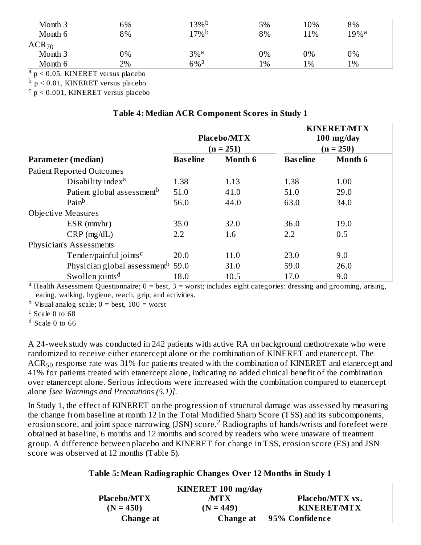| $- -$<br>Month 3<br>Month 6 | 6%<br>8% | $13\%$ <sup>b</sup><br>$17\%$ <sup>b</sup> | 5%<br>8% | 10%<br>11% | 8%<br>$19\%$ <sup>a</sup> |  |
|-----------------------------|----------|--------------------------------------------|----------|------------|---------------------------|--|
| $ACR_{70}$                  |          |                                            |          |            |                           |  |
| Month 3                     | 0%       | $3\%$ <sup>a</sup>                         | 0%       | 0%         | 0%                        |  |
| Month 6                     | 2%       | $6\%$ <sup>a</sup>                         | 1%       | 1%         | 1%                        |  |

<sup>a</sup> p < 0.05, KINERET versus placebo

 $^{\rm b}$  p < 0.01, KINERET versus placebo

 $\rm ^c$  p < 0.001, KINERET versus placebo

|                                               |                 | <b>Placebo/MTX</b><br>$(n = 251)$ |                 | <b>KINERET/MTX</b><br>$100$ mg/day<br>$(n = 250)$ |
|-----------------------------------------------|-----------------|-----------------------------------|-----------------|---------------------------------------------------|
| <b>Parameter (median)</b>                     | <b>Baseline</b> | <b>Month 6</b>                    | <b>Baseline</b> | <b>Month 6</b>                                    |
| <b>Patient Reported Outcomes</b>              |                 |                                   |                 |                                                   |
| Disability index <sup>a</sup>                 | 1.38            | 1.13                              | 1.38            | 1.00                                              |
| Patient global assessment <sup>b</sup>        | 51.0            | 41.0                              | 51.0            | 29.0                                              |
| Pain <sup>b</sup>                             | 56.0            | 44.0                              | 63.0            | 34.0                                              |
| <b>Objective Measures</b>                     |                 |                                   |                 |                                                   |
| $ESR$ ( $mm/hr$ )                             | 35.0            | 32.0                              | 36.0            | 19.0                                              |
| $CRP$ (mg/dL)                                 | 2.2             | 1.6                               | 2.2             | 0.5                                               |
| Physician's Assessments                       |                 |                                   |                 |                                                   |
| Tender/painful joints <sup>c</sup>            | 20.0            | 11.0                              | 23.0            | 9.0                                               |
| Physician global assessment <sup>b</sup> 59.0 |                 | 31.0                              | 59.0            | 26.0                                              |
| Swollen joints <sup>d</sup>                   | 18.0            | 10.5                              | 17.0            | 9.0                                               |

#### **Table 4: Median ACR Component Scores in Study 1**

<sup>a</sup> Health Assessment Questionnaire; 0 = best, 3 = worst; includes eight categories: dressing and grooming, arising, eating, walking, hygiene, reach, grip, and activities.

<sup>b</sup> Visual analog scale;  $0 =$  best,  $100 =$  worst

 $c$  Scale 0 to 68

<sup>d</sup> Scale 0 to 66

A 24-week study was conducted in 242 patients with active RA on background methotrexate who were randomized to receive either etanercept alone or the combination of KINERET and etanercept. The  $\rm{ACR_{50}}$  response rate was 31% for patients treated with the combination of KINERET and etanercept and 41% for patients treated with etanercept alone, indicating no added clinical benefit of the combination over etanercept alone. Serious infections were increased with the combination compared to etanercept alone *[see Warnings and Precautions (5.1)]*.

In Study 1, the effect of KINERET on the progression of structural damage was assessed by measuring the change from baseline at month 12 in the Total Modified Sharp Score (TSS) and its subcomponents, erosion score, and joint space narrowing (JSN) score.<sup>2</sup> Radiographs of hands/wrists and forefeet were obtained at baseline, 6 months and 12 months and scored by readers who were unaware of treatment group. A difference between placebo and KINERET for change in TSS, erosion score (ES) and JSN score was observed at 12 months (Table 5).

#### **Table 5: Mean Radiographic Changes Over 12 Months in Study 1**

|                    | KINERET 100 mg/day |                          |
|--------------------|--------------------|--------------------------|
| <b>Placebo/MTX</b> | <b>MTX</b>         | <b>Placebo/MTX vs.</b>   |
| $(N = 450)$        | $(N = 449)$        | <b>KINERET/MTX</b>       |
| Change at          |                    | Change at 95% Confidence |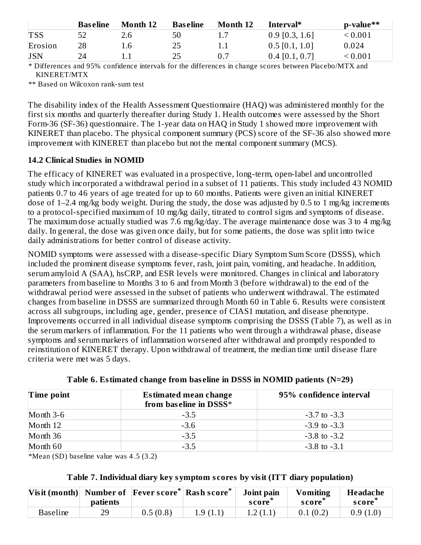|            | <b>Baseline</b> | Month 12 | <b>Baseline</b> | <b>Month 12</b> | Interval*        | p-value**      |
|------------|-----------------|----------|-----------------|-----------------|------------------|----------------|
| <b>TSS</b> |                 | 2.6      | 50              | ⊥.,             | $0.9$ [0.3, 1.6] | ${}_{< 0.001}$ |
| Erosion    | 28              | 1.6      | 25              |                 | $0.5$ [0.1, 1.0] | 0.024          |
| <b>JSN</b> |                 |          | 25              | 0.7             | $0.4$ [0.1, 0.7] | < 0.001        |

\* Differences and 95% confidence intervals for the differences in change scores between Placebo/MTX and KINERET/MTX

\*\* Based on Wilcoxon rank-sum test

The disability index of the Health Assessment Questionnaire (HAQ) was administered monthly for the first six months and quarterly thereafter during Study 1. Health outcomes were assessed by the Short Form-36 (SF-36) questionnaire. The 1-year data on HAQ in Study 1 showed more improvement with KINERET than placebo. The physical component summary (PCS) score of the SF-36 also showed more improvement with KINERET than placebo but not the mental component summary (MCS).

#### **14.2 Clinical Studies in NOMID**

The efficacy of KINERET was evaluated in a prospective, long-term, open-label and uncontrolled study which incorporated a withdrawal period in a subset of 11 patients. This study included 43 NOMID patients 0.7 to 46 years of age treated for up to 60 months. Patients were given an initial KINERET dose of 1–2.4 mg/kg body weight. During the study, the dose was adjusted by 0.5 to 1 mg/kg increments to a protocol-specified maximum of 10 mg/kg daily, titrated to control signs and symptoms of disease. The maximum dose actually studied was 7.6 mg/kg/day. The average maintenance dose was 3 to 4 mg/kg daily. In general, the dose was given once daily, but for some patients, the dose was split into twice daily administrations for better control of disease activity.

NOMID symptoms were assessed with a disease-specific Diary Symptom Sum Score (DSSS), which included the prominent disease symptoms fever, rash, joint pain, vomiting, and headache. In addition, serum amyloid A (SAA), hsCRP, and ESR levels were monitored. Changes in clinical and laboratory parameters from baseline to Months 3 to 6 and from Month 3 (before withdrawal) to the end of the withdrawal period were assessed in the subset of patients who underwent withdrawal. The estimated changes from baseline in DSSS are summarized through Month 60 in Table 6. Results were consistent across all subgroups, including age, gender, presence of CIAS1 mutation, and disease phenotype. Improvements occurred in all individual disease symptoms comprising the DSSS (Table 7), as well as in the serum markers of inflammation. For the 11 patients who went through a withdrawal phase, disease symptoms and serum markers of inflammation worsened after withdrawal and promptly responded to reinstitution of KINERET therapy. Upon withdrawal of treatment, the median time until disease flare criteria were met was 5 days.

| Time point  | Estimated mean change<br>from baseline in DSSS* | 95% confidence interval |  |  |
|-------------|-------------------------------------------------|-------------------------|--|--|
| Month $3-6$ | $-3.5$                                          | $-3.7$ to $-3.3$        |  |  |
| Month 12    | $-3.6$                                          | $-3.9$ to $-3.3$        |  |  |
| Month 36    | $-3.5$                                          | $-3.8$ to $-3.2$        |  |  |
| Month 60    | $-3.5$                                          | $-3.8$ to $-3.1$        |  |  |

|  | Table 6. Estimated change from baseline in DSSS in NOMID patients (N=29) |  |  |  |  |  |
|--|--------------------------------------------------------------------------|--|--|--|--|--|
|  |                                                                          |  |  |  |  |  |

\*Mean (SD) baseline value was 4 .5 (3.2)

#### **Table 7. Individual diary key symptom s cores by visit (ITT diary population)**

| Visit (month) Number of Fever score* Rash score* | patients |          |          | Joint pain<br>score | <b>Vomiting</b><br>score | Headache<br>score |  |
|--------------------------------------------------|----------|----------|----------|---------------------|--------------------------|-------------------|--|
| Baseline                                         | 29       | 0.5(0.8) | 1.9(1.1) | 1.2(1.1)            | 0.1(0.2)                 | 0.9(1.0)          |  |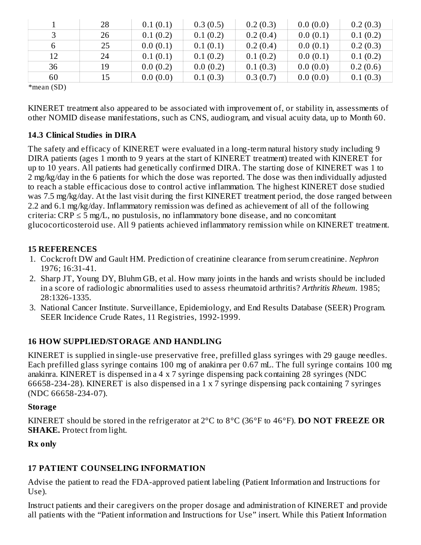|    | 28 | 0.1(0.1) | 0.3(0.5) | 0.2(0.3) | 0.0(0.0) | 0.2(0.3) |
|----|----|----------|----------|----------|----------|----------|
|    | 26 | 0.1(0.2) | 0.1(0.2) | 0.2(0.4) | 0.0(0.1) | 0.1(0.2) |
|    | 25 | 0.0(0.1) | 0.1(0.1) | 0.2(0.4) | 0.0(0.1) | 0.2(0.3) |
| 12 | 24 | 0.1(0.1) | 0.1(0.2) | 0.1(0.2) | 0.0(0.1) | 0.1(0.2) |
| 36 | 19 | 0.0(0.2) | 0.0(0.2) | 0.1(0.3) | 0.0(0.0) | 0.2(0.6) |
| 60 | 15 | 0.0(0.0) | 0.1(0.3) | 0.3(0.7) | 0.0(0.0) | 0.1(0.3) |

\*mean (SD)

KINERET treatment also appeared to be associated with improvement of, or stability in, assessments of other NOMID disease manifestations, such as CNS, audiogram, and visual acuity data, up to Month 60.

#### **14.3 Clinical Studies in DIRA**

The safety and efficacy of KINERET were evaluated in a long-term natural history study including 9 DIRA patients (ages 1 month to 9 years at the start of KINERET treatment) treated with KINERET for up to 10 years. All patients had genetically confirmed DIRA. The starting dose of KINERET was 1 to 2 mg/kg/day in the 6 patients for which the dose was reported. The dose was then individually adjusted to reach a stable efficacious dose to control active inflammation. The highest KINERET dose studied was 7.5 mg/kg/day. At the last visit during the first KINERET treatment period, the dose ranged between 2.2 and 6.1 mg/kg/day. Inflammatory remission was defined as achievement of all of the following criteria:  $CRP \le 5$  mg/L, no pustulosis, no inflammatory bone disease, and no concomitant glucocorticosteroid use. All 9 patients achieved inflammatory remission while on KINERET treatment.

#### **15 REFERENCES**

- 1. Cockcroft DW and Gault HM. Prediction of creatinine clearance from serum creatinine. *Nephron* 1976; 16:31-41.
- 2. Sharp JT, Young DY, Bluhm GB, et al. How many joints in the hands and wrists should be included in a score of radiologic abnormalities used to assess rheumatoid arthritis? *Arthritis Rheum.* 1985; 28:1326-1335.
- 3. National Cancer Institute. Surveillance, Epidemiology, and End Results Database (SEER) Program. SEER Incidence Crude Rates, 11 Registries, 1992-1999.

#### **16 HOW SUPPLIED/STORAGE AND HANDLING**

KINERET is supplied in single-use preservative free, prefilled glass syringes with 29 gauge needles. Each prefilled glass syringe contains 100 mg of anakinra per 0.67 mL. The full syringe contains 100 mg anakinra. KINERET is dispensed in a 4 x 7 syringe dispensing pack containing 28 syringes (NDC 66658-234-28). KINERET is also dispensed in a 1 x 7 syringe dispensing pack containing 7 syringes (NDC 66658-234-07).

#### **Storage**

KINERET should be stored in the refrigerator at 2°C to 8°C (36°F to 46°F). **DO NOT FREEZE OR SHAKE.** Protect from light.

#### **Rx only**

#### **17 PATIENT COUNSELING INFORMATION**

Advise the patient to read the FDA-approved patient labeling (Patient Information and Instructions for Use).

Instruct patients and their caregivers on the proper dosage and administration of KINERET and provide all patients with the "Patient information and Instructions for Use" insert. While this Patient Information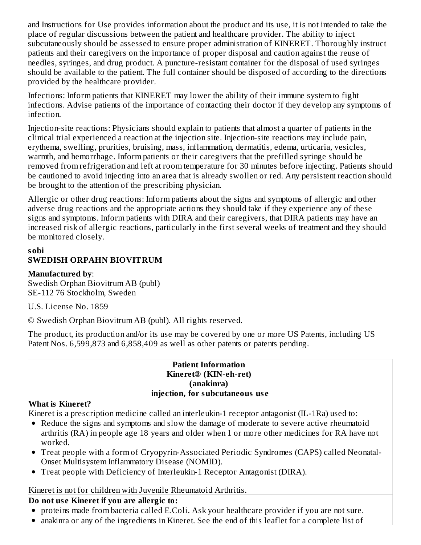and Instructions for Use provides information about the product and its use, it is not intended to take the place of regular discussions between the patient and healthcare provider. The ability to inject subcutaneously should be assessed to ensure proper administration of KINERET. Thoroughly instruct patients and their caregivers on the importance of proper disposal and caution against the reuse of needles, syringes, and drug product. A puncture-resistant container for the disposal of used syringes should be available to the patient. The full container should be disposed of according to the directions provided by the healthcare provider.

Infections: Inform patients that KINERET may lower the ability of their immune system to fight infections. Advise patients of the importance of contacting their doctor if they develop any symptoms of infection.

Injection-site reactions: Physicians should explain to patients that almost a quarter of patients in the clinical trial experienced a reaction at the injection site. Injection-site reactions may include pain, erythema, swelling, prurities, bruising, mass, inflammation, dermatitis, edema, urticaria, vesicles, warmth, and hemorrhage. Inform patients or their caregivers that the prefilled syringe should be removed from refrigeration and left at room temperature for 30 minutes before injecting. Patients should be cautioned to avoid injecting into an area that is already swollen or red. Any persistent reaction should be brought to the attention of the prescribing physician.

Allergic or other drug reactions: Inform patients about the signs and symptoms of allergic and other adverse drug reactions and the appropriate actions they should take if they experience any of these signs and symptoms. Inform patients with DIRA and their caregivers, that DIRA patients may have an increased risk of allergic reactions, particularly in the first several weeks of treatment and they should be monitored closely.

#### **sobi SWEDISH ORPAHN BIOVITRUM**

#### **Manufactured by**:

Swedish Orphan Biovitrum AB (publ) SE-112 76 Stockholm, Sweden

U.S. License No. 1859

© Swedish Orphan Biovitrum AB (publ). All rights reserved.

The product, its production and/or its use may be covered by one or more US Patents, including US Patent Nos. 6,599,873 and 6,858,409 as well as other patents or patents pending.

#### **Patient Information Kineret® (KIN-eh-ret) (anakinra) injection, for subcutaneous us e**

#### **What is Kineret?**

Kineret is a prescription medicine called an interleukin-1 receptor antagonist (IL-1Ra) used to:

- Reduce the signs and symptoms and slow the damage of moderate to severe active rheumatoid arthritis (RA) in people age 18 years and older when 1 or more other medicines for RA have not worked.
- Treat people with a form of Cryopyrin-Associated Periodic Syndromes (CAPS) called Neonatal-Onset Multisystem Inflammatory Disease (NOMID).
- Treat people with Deficiency of Interleukin-1 Receptor Antagonist (DIRA).

## Kineret is not for children with Juvenile Rheumatoid Arthritis.

# **Do not us e Kineret if you are allergic to:**

- proteins made from bacteria called E.Coli. Ask your healthcare provider if you are not sure.
- anakinra or any of the ingredients in Kineret. See the end of this leaflet for a complete list of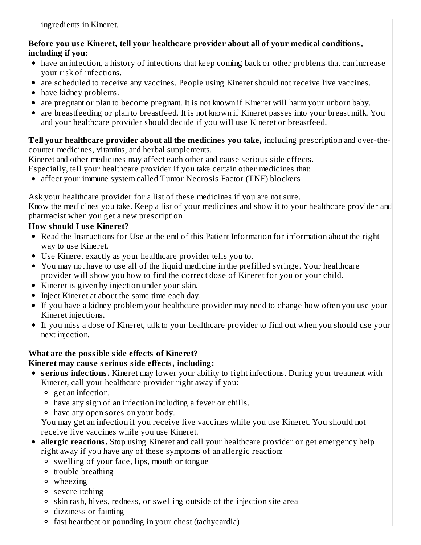#### **Before you us e Kineret, tell your healthcare provider about all of your medical conditions, including if you:**

- have an infection, a history of infections that keep coming back or other problems that can increase your risk of infections.
- are scheduled to receive any vaccines. People using Kineret should not receive live vaccines.
- have kidney problems.
- are pregnant or plan to become pregnant. It is not known if Kineret will harm your unborn baby.
- are breastfeeding or plan to breastfeed. It is not known if Kineret passes into your breast milk. You and your healthcare provider should decide if you will use Kineret or breastfeed.

#### **Tell your healthcare provider about all the medicines you take,** including prescription and over-thecounter medicines, vitamins, and herbal supplements.

Kineret and other medicines may affect each other and cause serious side effects.

Especially, tell your healthcare provider if you take certain other medicines that:

affect your immune system called Tumor Necrosis Factor (TNF) blockers

Ask your healthcare provider for a list of these medicines if you are not sure.

Know the medicines you take. Keep a list of your medicines and show it to your healthcare provider and pharmacist when you get a new prescription.

#### **How should I us e Kineret?**

- Read the Instructions for Use at the end of this Patient Information for information about the right way to use Kineret.
- Use Kineret exactly as your healthcare provider tells you to.
- You may not have to use all of the liquid medicine in the prefilled syringe. Your healthcare provider will show you how to find the correct dose of Kineret for you or your child.
- Kineret is given by injection under your skin.
- Inject Kineret at about the same time each day.
- If you have a kidney problem your healthcare provider may need to change how often you use your Kineret injections.
- If you miss a dose of Kineret, talk to your healthcare provider to find out when you should use your next injection.

#### **What are the possible side effects of Kineret? Kineret may caus e s erious side effects, including:**

- **s erious infections.** Kineret may lower your ability to fight infections. During your treatment with Kineret, call your healthcare provider right away if you:
	- get an infection.
	- have any sign of an infection including a fever or chills.
	- have any open sores on your body.

You may get an infection if you receive live vaccines while you use Kineret. You should not receive live vaccines while you use Kineret.

- **allergic reactions.** Stop using Kineret and call your healthcare provider or get emergency help right away if you have any of these symptoms of an allergic reaction:
	- swelling of your face, lips, mouth or tongue
	- trouble breathing
	- wheezing
	- severe itching
	- skin rash, hives, redness, or swelling outside of the injection site area
	- dizziness or fainting
	- fast heartbeat or pounding in your chest (tachycardia)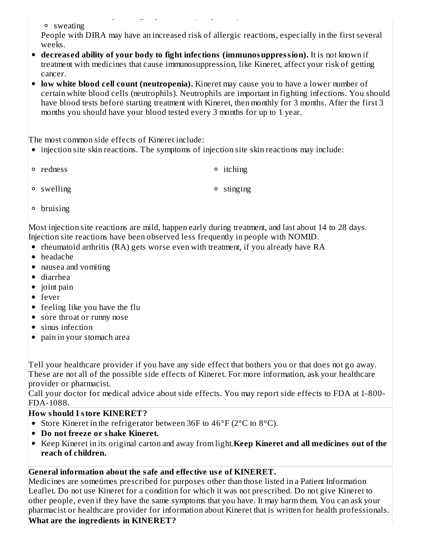sweating

People with DIRA may have an increased risk of allergic reactions, especially in the first several weeks.

- **decreas ed ability of your body to fight infections (immunosuppression).** It is not known if treatment with medicines that cause immunosuppression, like Kineret, affect your risk of getting cancer.
- **low white blood cell count (neutropenia).** Kineret may cause you to have a lower number of certain white blood cells (neutrophils). Neutrophils are important in fighting infections. You should have blood tests before starting treatment with Kineret, then monthly for 3 months. After the first 3 months you should have your blood tested every 3 months for up to 1 year.

The most common side effects of Kineret include:

- injection site skin reactions. The symptoms of injection site skin reactions may include:
- redness **itching** • swelling objects that the stinging of stinging

fast heartbeat or pounding in your chest (tachycardia)

bruising

Most injection site reactions are mild, happen early during treatment, and last about 14 to 28 days. Injection site reactions have been observed less frequently in people with NOMID.

- rheumatoid arthritis (RA) gets worse even with treatment, if you already have RA
- headache
- nausea and vomiting
- diarrhea
- joint pain
- fever
- feeling like you have the flu
- sore throat or runny nose
- sinus infection
- pain in your stomach area

Tell your healthcare provider if you have any side effect that bothers you or that does not go away. These are not all of the possible side effects of Kineret. For more information, ask your healthcare provider or pharmacist.

Call your doctor for medical advice about side effects. You may report side effects to FDA at 1-800- FDA-1088.

# **How should I store KINERET?**

- Store Kineret in the refrigerator between 36F to 46°F (2°C to 8°C).
- **Do not freeze or shake Kineret.**
- Keep Kineret in its original carton and away from light.**Keep Kineret and all medicines out of the reach of children.**

# **General information about the safe and effective us e of KINERET.**

Medicines are sometimes prescribed for purposes other than those listed in a Patient Information Leaflet. Do not use Kineret for a condition for which it was not prescribed. Do not give Kineret to other people, even if they have the same symptoms that you have. It may harm them. You can ask your pharmacist or healthcare provider for information about Kineret that is written for health professionals.

## **What are the ingredients in KINERET?**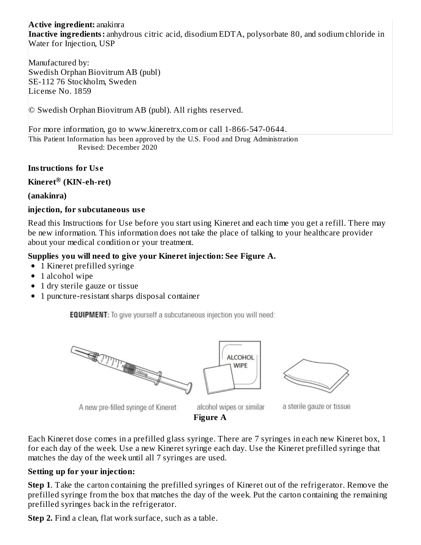**Active ingredient:** anakinra **Inactive ingredients:** anhydrous citric acid, disodium EDTA, polysorbate 80, and sodium chloride in Water for Injection, USP

Manufactured by: Swedish Orphan Biovitrum AB (publ) SE-112 76 Stockholm, Sweden License No. 1859

© Swedish Orphan Biovitrum AB (publ). All rights reserved.

This Patient Information has been approved by the U.S. Food and Drug Administration For more information, go to www.kineretrx.com or call 1-866-547-0644.

Revised: December 2020

#### **Instructions for Us e**

 $\mathbf K$ ineret $^\circledR$  (KIN-eh-ret)

**(anakinra)**

#### **injection, for subcutaneous us e**

Read this Instructions for Use before you start using Kineret and each time you get a refill. There may be new information. This information does not take the place of talking to your healthcare provider about your medical condition or your treatment.

#### **Supplies you will need to give your Kineret injection: See Figure A.**

- 1 Kineret prefilled syringe
- 1 alcohol wipe
- 1 dry sterile gauze or tissue
- 1 puncture-resistant sharps disposal container

**EQUIPMENT:** To give yourself a subcutaneous injection you will need:







A new pre-filled syringe of Kineret

alcohol wipes or similar **Figure A**

**ALCOHOL** 

a sterile gauze or tissue

Each Kineret dose comes in a prefilled glass syringe. There are 7 syringes in each new Kineret box, 1 for each day of the week. Use a new Kineret syringe each day. Use the Kineret prefilled syringe that matches the day of the week until all 7 syringes are used.

#### **Setting up for your injection:**

**Step 1**. Take the carton containing the prefilled syringes of Kineret out of the refrigerator. Remove the prefilled syringe from the box that matches the day of the week. Put the carton containing the remaining prefilled syringes back in the refrigerator.

**Step 2.** Find a clean, flat work surface, such as a table.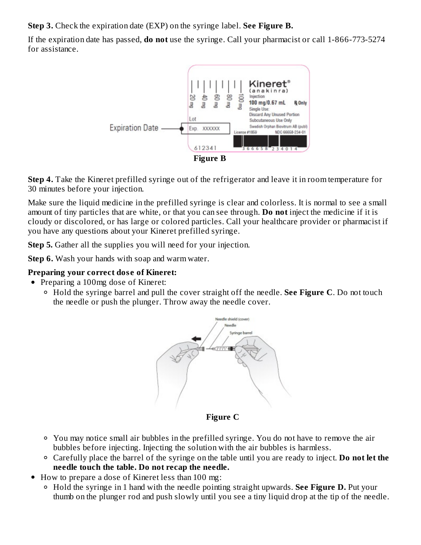**Step 3.** Check the expiration date (EXP) on the syringe label. **See Figure B.**

If the expiration date has passed, **do not** use the syringe. Call your pharmacist or call 1-866-773-5274 for assistance.



**Step 4.** Take the Kineret prefilled syringe out of the refrigerator and leave it in room temperature for 30 minutes before your injection.

Make sure the liquid medicine in the prefilled syringe is clear and colorless. It is normal to see a small amount of tiny particles that are white, or that you can see through. **Do not** inject the medicine if it is cloudy or discolored, or has large or colored particles. Call your healthcare provider or pharmacist if you have any questions about your Kineret prefilled syringe.

**Step 5.** Gather all the supplies you will need for your injection.

**Step 6.** Wash your hands with soap and warm water.

# **Preparing your correct dos e of Kineret:**

- Preparing a 100mg dose of Kineret:
	- Hold the syringe barrel and pull the cover straight off the needle. **See Figure C**. Do not touch the needle or push the plunger. Throw away the needle cover.



**Figure C**

- You may notice small air bubbles in the prefilled syringe. You do not have to remove the air bubbles before injecting. Injecting the solution with the air bubbles is harmless.
- Carefully place the barrel of the syringe on the table until you are ready to inject. **Do not let the needle touch the table. Do not recap the needle.**
- How to prepare a dose of Kineret less than 100 mg:  $\bullet$ 
	- Hold the syringe in 1 hand with the needle pointing straight upwards. **See Figure D.** Put your thumb on the plunger rod and push slowly until you see a tiny liquid drop at the tip of the needle.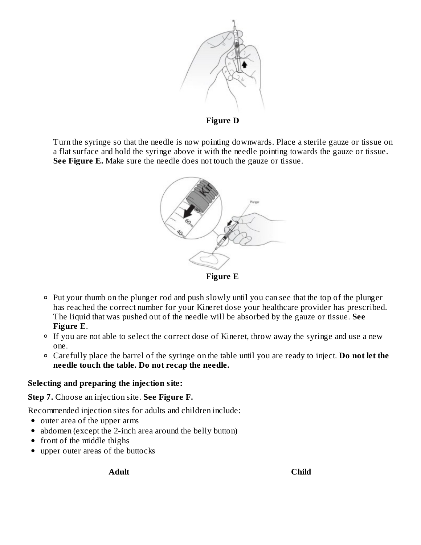

**Figure D**

Turn the syringe so that the needle is now pointing downwards. Place a sterile gauze or tissue on a flat surface and hold the syringe above it with the needle pointing towards the gauze or tissue. **See Figure E.** Make sure the needle does not touch the gauze or tissue.



- Put your thumb on the plunger rod and push slowly until you can see that the top of the plunger has reached the correct number for your Kineret dose your healthcare provider has prescribed. The liquid that was pushed out of the needle will be absorbed by the gauze or tissue. **See Figure E**.
- <sup>o</sup> If you are not able to select the correct dose of Kineret, throw away the syringe and use a new one.
- Carefully place the barrel of the syringe on the table until you are ready to inject. **Do not let the needle touch the table. Do not recap the needle.**

#### **Selecting and preparing the injection site:**

**Step 7.** Choose an injection site. **See Figure F.**

Recommended injection sites for adults and children include:

- outer area of the upper arms
- abdomen (except the 2-inch area around the belly button)
- front of the middle thighs
- upper outer areas of the buttocks

**Adult Child**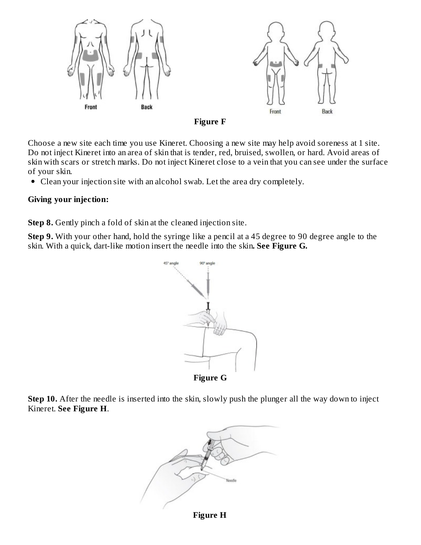



Choose a new site each time you use Kineret. Choosing a new site may help avoid soreness at 1 site. Do not inject Kineret into an area of skin that is tender, red, bruised, swollen, or hard. Avoid areas of skin with scars or stretch marks. Do not inject Kineret close to a vein that you can see under the surface of your skin.

Clean your injection site with an alcohol swab. Let the area dry completely.

#### **Giving your injection:**

**Step 8.** Gently pinch a fold of skin at the cleaned injection site.

**Step 9.** With your other hand, hold the syringe like a pencil at a 45 degree to 90 degree angle to the skin. With a quick, dart-like motion insert the needle into the skin**. See Figure G.**



**Figure G**

**Step 10.** After the needle is inserted into the skin, slowly push the plunger all the way down to inject Kineret. **See Figure H**.



**Figure H**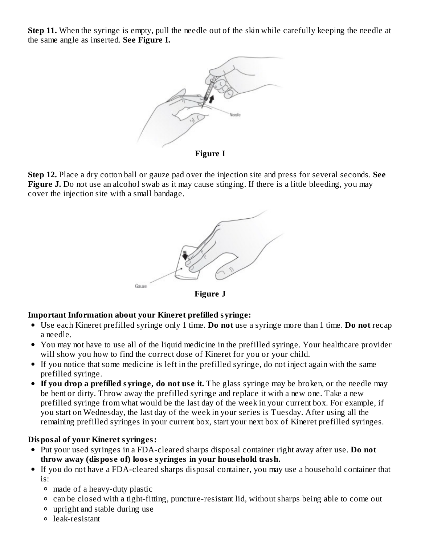**Step 11.** When the syringe is empty, pull the needle out of the skin while carefully keeping the needle at the same angle as inserted. **See Figure I.**



**Figure I**

**Step 12.** Place a dry cotton ball or gauze pad over the injection site and press for several seconds. **See** Figure **J.** Do not use an alcohol swab as it may cause stinging. If there is a little bleeding, you may cover the injection site with a small bandage.



#### **Important Information about your Kineret prefilled syringe:**

- Use each Kineret prefilled syringe only 1 time. **Do not** use a syringe more than 1 time. **Do not** recap a needle.
- You may not have to use all of the liquid medicine in the prefilled syringe. Your healthcare provider will show you how to find the correct dose of Kineret for you or your child.
- If you notice that some medicine is left in the prefilled syringe, do not inject again with the same prefilled syringe.
- **If you drop a prefilled syringe, do not us e it.** The glass syringe may be broken, or the needle may be bent or dirty. Throw away the prefilled syringe and replace it with a new one. Take a new prefilled syringe from what would be the last day of the week in your current box. For example, if you start on Wednesday, the last day of the week in your series is Tuesday. After using all the remaining prefilled syringes in your current box, start your next box of Kineret prefilled syringes.

#### **Disposal of your Kineret syringes:**

- Put your used syringes in a FDA-cleared sharps disposal container right away after use. **Do not throw away (dispos e of) loos e syringes in your hous ehold trash.**
- If you do not have a FDA-cleared sharps disposal container, you may use a household container that is:
	- made of a heavy-duty plastic
	- can be closed with a tight-fitting, puncture-resistant lid, without sharps being able to come out
	- upright and stable during use
	- leak-resistant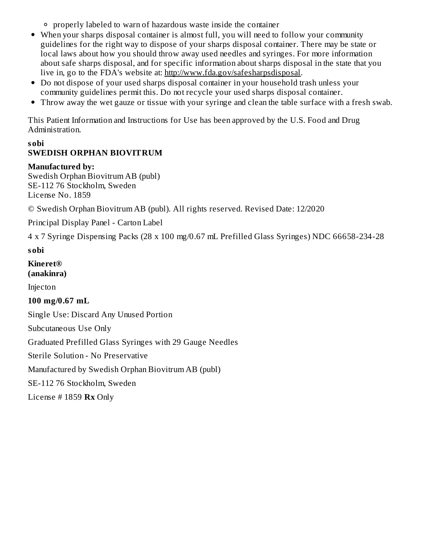properly labeled to warn of hazardous waste inside the container

- When your sharps disposal container is almost full, you will need to follow your community guidelines for the right way to dispose of your sharps disposal container. There may be state or local laws about how you should throw away used needles and syringes. For more information about safe sharps disposal, and for specific information about sharps disposal in the state that you live in, go to the FDA's website at: http://www.fda.gov/safesharpsdisposal.
- Do not dispose of your used sharps disposal container in your household trash unless your community guidelines permit this. Do not recycle your used sharps disposal container.
- Throw away the wet gauze or tissue with your syringe and clean the table surface with a fresh swab.

This Patient Information and Instructions for Use has been approved by the U.S. Food and Drug Administration.

#### **sobi SWEDISH ORPHAN BIOVITRUM**

#### **Manufactured by:**

Swedish Orphan Biovitrum AB (publ) SE-112 76 Stockholm, Sweden License No. 1859

© Swedish Orphan Biovitrum AB (publ). All rights reserved. Revised Date: 12/2020

Principal Display Panel - Carton Label

4 x 7 Syringe Dispensing Packs (28 x 100 mg/0.67 mL Prefilled Glass Syringes) NDC 66658-234-28

#### **sobi**

**Kineret® (anakinra)**

Injecton

**100 mg/0.67 mL**

Single Use: Discard Any Unused Portion

Subcutaneous Use Only

Graduated Prefilled Glass Syringes with 29 Gauge Needles

Sterile Solution - No Preservative

Manufactured by Swedish Orphan Biovitrum AB (publ)

SE-112 76 Stockholm, Sweden

License # 1859 **Rx** Only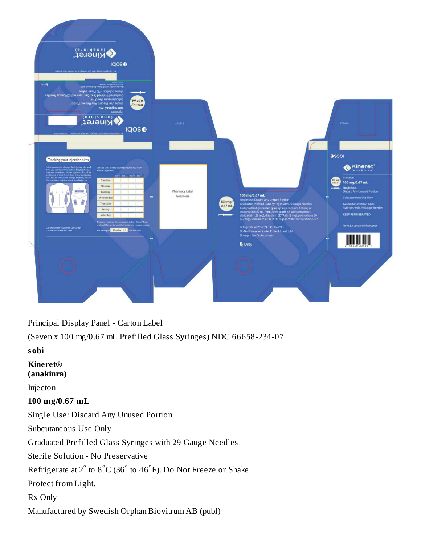

Principal Display Panel - Carton Label

(Seven x 100 mg/0.67 mL Prefilled Glass Syringes) NDC 66658-234-07

**sobi**

**Kineret® (anakinra)**

Injecton

#### **100 mg/0.67 mL**

Single Use: Discard Any Unused Portion

Subcutaneous Use Only

Graduated Prefilled Glass Syringes with 29 Gauge Needles

Sterile Solution - No Preservative

Refrigerate at 2 $\degree$  to 8 $\degree$ C (36 $\degree$  to 46 $\degree$ F). Do Not Freeze or Shake.

Protect from Light.

Rx Only

Manufactured by Swedish Orphan Biovitrum AB (publ)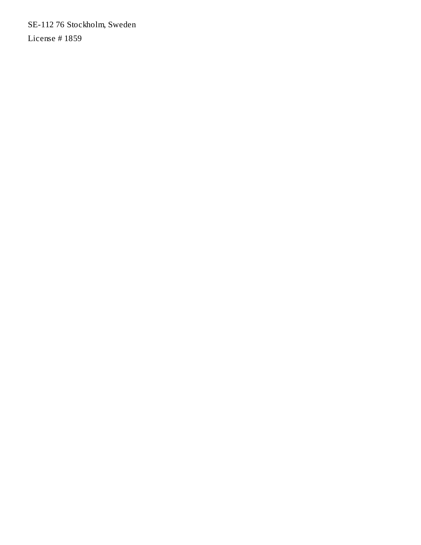SE-112 76 Stockholm, Sweden License # 1859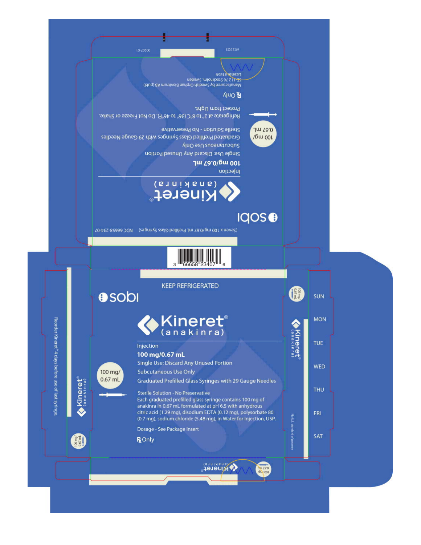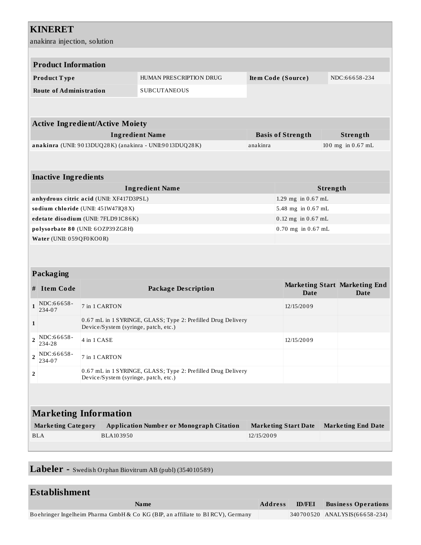|                                                                                                           | <b>KINERET</b>                                                                                       |                                          |                            |                    |                                |  |                                       |  |
|-----------------------------------------------------------------------------------------------------------|------------------------------------------------------------------------------------------------------|------------------------------------------|----------------------------|--------------------|--------------------------------|--|---------------------------------------|--|
|                                                                                                           | anakinra injection, solution                                                                         |                                          |                            |                    |                                |  |                                       |  |
|                                                                                                           |                                                                                                      |                                          |                            |                    |                                |  |                                       |  |
|                                                                                                           | <b>Product Information</b>                                                                           |                                          |                            |                    |                                |  |                                       |  |
|                                                                                                           | Product Type                                                                                         |                                          | HUMAN PRESCRIPTION DRUG    |                    | Item Code (Source)             |  | NDC:66658-234                         |  |
|                                                                                                           | <b>Route of Administration</b>                                                                       |                                          | <b>SUBCUTANEOUS</b>        |                    |                                |  |                                       |  |
|                                                                                                           |                                                                                                      |                                          |                            |                    |                                |  |                                       |  |
|                                                                                                           |                                                                                                      | <b>Active Ingredient/Active Moiety</b>   |                            |                    |                                |  |                                       |  |
|                                                                                                           |                                                                                                      |                                          | <b>Ingredient Name</b>     |                    | <b>Basis of Strength</b>       |  | Strength                              |  |
|                                                                                                           | anakinra (UNII: 9013DUQ28K) (anakinra - UNII:9013DUQ28K)                                             |                                          |                            | anakinra           |                                |  | 100 mg in 0.67 mL                     |  |
|                                                                                                           |                                                                                                      |                                          |                            |                    |                                |  |                                       |  |
|                                                                                                           |                                                                                                      |                                          |                            |                    |                                |  |                                       |  |
|                                                                                                           | <b>Inactive Ingredients</b>                                                                          |                                          | <b>Ingredient Name</b>     |                    |                                |  |                                       |  |
|                                                                                                           |                                                                                                      | anhydrous citric acid (UNII: XF417D3PSL) |                            |                    | Strength<br>1.29 mg in 0.67 mL |  |                                       |  |
|                                                                                                           | sodium chloride (UNII: 451W47IQ8X)                                                                   |                                          |                            | 5.48 mg in 0.67 mL |                                |  |                                       |  |
|                                                                                                           | edetate disodium (UNII: 7FLD91C86K)                                                                  |                                          |                            |                    | 0.12 mg in 0.67 mL             |  |                                       |  |
|                                                                                                           | polysorbate 80 (UNII: 6OZP39ZG8H)                                                                    |                                          |                            |                    | 0.70 mg in 0.67 mL             |  |                                       |  |
|                                                                                                           | Water (UNII: 059QF0KO0R)                                                                             |                                          |                            |                    |                                |  |                                       |  |
|                                                                                                           |                                                                                                      |                                          |                            |                    |                                |  |                                       |  |
|                                                                                                           |                                                                                                      |                                          |                            |                    |                                |  |                                       |  |
|                                                                                                           | Packaging                                                                                            |                                          |                            |                    |                                |  |                                       |  |
|                                                                                                           | # Item Code                                                                                          |                                          | <b>Package Description</b> |                    | Date                           |  | Marketing Start Marketing End<br>Date |  |
| $\mathbf{1}$                                                                                              | NDC:66658-<br>234-07                                                                                 | 7 in 1 CARTON                            |                            |                    | 12/15/2009                     |  |                                       |  |
| 1                                                                                                         | 0.67 mL in 1 SYRINGE, GLASS; Type 2: Prefilled Drug Delivery<br>Device/System (syringe, patch, etc.) |                                          |                            |                    |                                |  |                                       |  |
| $\overline{2}$                                                                                            | NDC:66658-<br>4 in 1 CASE<br>234-28                                                                  |                                          |                            | 12/15/2009         |                                |  |                                       |  |
| NDC:66658-<br>$\overline{2}$<br>7 in 1 CARTON<br>234-07                                                   |                                                                                                      |                                          |                            |                    |                                |  |                                       |  |
| 0.67 mL in 1 SYRINGE, GLASS; Type 2: Prefilled Drug Delivery<br>2<br>Device/System (syringe, patch, etc.) |                                                                                                      |                                          |                            |                    |                                |  |                                       |  |
|                                                                                                           |                                                                                                      |                                          |                            |                    |                                |  |                                       |  |
|                                                                                                           |                                                                                                      |                                          |                            |                    |                                |  |                                       |  |
|                                                                                                           |                                                                                                      |                                          |                            |                    |                                |  |                                       |  |

| <b>Marketing Information</b> |                                                 |                             |                           |  |  |
|------------------------------|-------------------------------------------------|-----------------------------|---------------------------|--|--|
| <b>Marketing Category</b>    | <b>Application Number or Monograph Citation</b> | <b>Marketing Start Date</b> | <b>Marketing End Date</b> |  |  |
| BLA                          | BLA103950                                       | 12/15/2009                  |                           |  |  |
|                              |                                                 |                             |                           |  |  |

**Labeler -** Swedish Orphan Biovitrum AB (publ) (354010589)

| Establishment                                                                   |                |               |                                   |
|---------------------------------------------------------------------------------|----------------|---------------|-----------------------------------|
| <b>Name</b>                                                                     | <b>Address</b> | <b>ID/FEI</b> | <b>Business Operations</b>        |
| Boehringer Ingelheim Pharma GmbH & Co KG (BIP, an affiliate to BI RCV), Germany |                |               | $ 340700520 $ ANALYSIS(66658-234) |